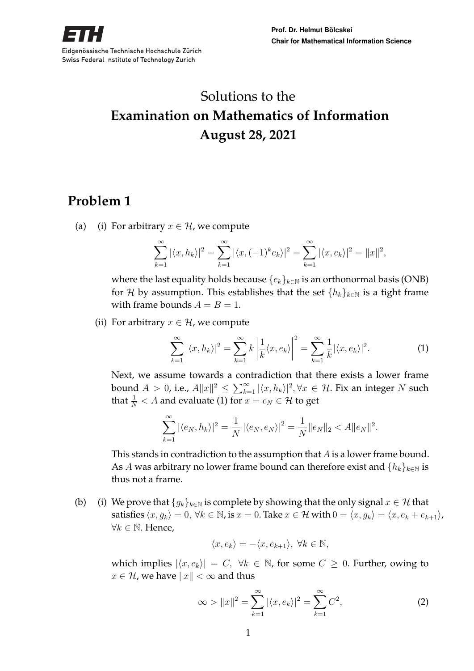# Solutions to the **Examination on Mathematics of Information August 28, 2021**

## **Problem 1**

(a) (i) For arbitrary  $x \in \mathcal{H}$ , we compute

$$
\sum_{k=1}^{\infty} |\langle x, h_k \rangle|^2 = \sum_{k=1}^{\infty} |\langle x, (-1)^k e_k \rangle|^2 = \sum_{k=1}^{\infty} |\langle x, e_k \rangle|^2 = ||x||^2,
$$

where the last equality holds because  $\{e_k\}_{k\in\mathbb{N}}$  is an orthonormal basis (ONB) for H by assumption. This establishes that the set  $\{h_k\}_{k\in\mathbb{N}}$  is a tight frame with frame bounds  $A = B = 1$ .

(ii) For arbitrary  $x \in \mathcal{H}$ , we compute

$$
\sum_{k=1}^{\infty} |\langle x, h_k \rangle|^2 = \sum_{k=1}^{\infty} k \left| \frac{1}{k} \langle x, e_k \rangle \right|^2 = \sum_{k=1}^{\infty} \frac{1}{k} |\langle x, e_k \rangle|^2.
$$
 (1)

Next, we assume towards a contradiction that there exists a lower frame bound  $A > 0$ , i.e.,  $A||x||^2 \le \sum_{k=1}^{\infty} |\langle x, h_k \rangle|^2, \forall x \in \mathcal{H}$ . Fix an integer N such that  $\frac{1}{N} < A$  and evaluate (1) for  $x = e_N \in \mathcal{H}$  to get

$$
\sum_{k=1}^{\infty} |\langle e_N, h_k \rangle|^2 = \frac{1}{N} |\langle e_N, e_N \rangle|^2 = \frac{1}{N} ||e_N||_2 < A ||e_N||^2.
$$

This stands in contradiction to the assumption that A is a lower frame bound. As A was arbitrary no lower frame bound can therefore exist and  $\{h_k\}_{k\in\mathbb{N}}$  is thus not a frame.

(b) (i) We prove that  ${g_k}_{k\in\mathbb{N}}$  is complete by showing that the only signal  $x \in \mathcal{H}$  that satisfies  $\langle x, g_k \rangle = 0$ ,  $\forall k \in \mathbb{N}$ , is  $x = 0$ . Take  $x \in \mathcal{H}$  with  $0 = \langle x, g_k \rangle = \langle x, e_k + e_{k+1} \rangle$ ,  $∀k ∈ ℕ$ . Hence,

$$
\langle x, e_k \rangle = -\langle x, e_{k+1} \rangle, \ \forall k \in \mathbb{N},
$$

which implies  $|\langle x, e_k \rangle| = C$ ,  $\forall k \in \mathbb{N}$ , for some  $C \geq 0$ . Further, owing to  $x \in \mathcal{H}$ , we have  $||x|| < \infty$  and thus

$$
\infty > ||x||^2 = \sum_{k=1}^{\infty} |\langle x, e_k \rangle|^2 = \sum_{k=1}^{\infty} C^2,
$$
 (2)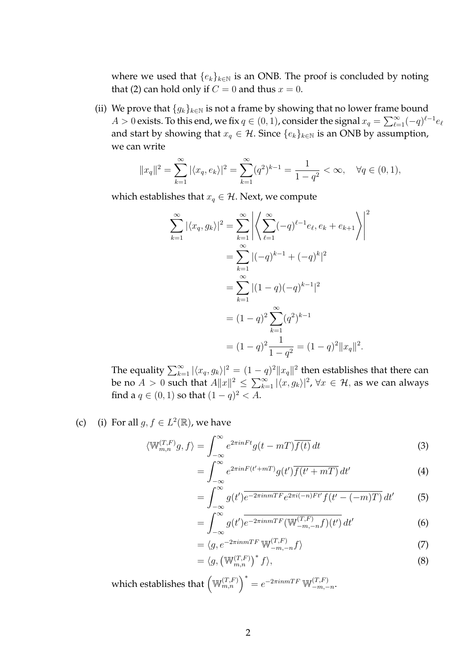where we used that  $\{e_k\}_{k\in\mathbb{N}}$  is an ONB. The proof is concluded by noting that (2) can hold only if  $C = 0$  and thus  $x = 0$ .

(ii) We prove that  ${g_k}_{k \in \mathbb{N}}$  is not a frame by showing that no lower frame bound  $A>0$  exists. To this end, we fix  $q\in(0,1)$ , consider the signal  $x_q=\sum_{\ell=1}^\infty (-q)^{\ell-1}e_\ell$ and start by showing that  $x_q \in \mathcal{H}$ . Since  $\{e_k\}_{k \in \mathbb{N}}$  is an ONB by assumption, we can write

$$
||x_q||^2 = \sum_{k=1}^{\infty} |\langle x_q, e_k \rangle|^2 = \sum_{k=1}^{\infty} (q^2)^{k-1} = \frac{1}{1-q^2} < \infty, \quad \forall q \in (0,1),
$$

which establishes that  $x_q \in \mathcal{H}$ . Next, we compute

$$
\sum_{k=1}^{\infty} |\langle x_q, g_k \rangle|^2 = \sum_{k=1}^{\infty} \left| \left\langle \sum_{\ell=1}^{\infty} (-q)^{\ell-1} e_{\ell}, e_k + e_{k+1} \right\rangle \right|^2
$$
  

$$
= \sum_{k=1}^{\infty} |(-q)^{k-1} + (-q)^k|^2
$$
  

$$
= \sum_{k=1}^{\infty} |(1-q)(-q)^{k-1}|^2
$$
  

$$
= (1-q)^2 \sum_{k=1}^{\infty} (q^2)^{k-1}
$$
  

$$
= (1-q)^2 \frac{1}{1-q^2} = (1-q)^2 ||x_q||^2.
$$

The equality  $\sum_{k=1}^{\infty} |\langle x_q, g_k\rangle|^2 = (1-q)^2 \|x_q\|^2$  then establishes that there can be no  $A > 0$  such that  $A\|x\|^2 \le \sum_{k=1}^{\infty} |\langle x, g_k\rangle|^2$ ,  $\forall x \in \mathcal{H}$ , as we can always find a  $q \in (0,1)$  so that  $(1-q)^2 < A$ .

(c) (i) For all  $g, f \in L^2(\mathbb{R})$ , we have

$$
\langle \mathbb{W}_{m,n}^{(T,F)}g, f \rangle = \int_{-\infty}^{\infty} e^{2\pi i nFt} g(t - mT) \overline{f(t)} dt
$$
 (3)

$$
= \int_{-\infty}^{\infty} e^{2\pi i nF(t'+mT)} g(t') \overline{f(t'+mT)} dt'
$$
 (4)

$$
=\int_{-\infty}^{\infty} g(t')\overline{e^{-2\pi immTF}e^{2\pi i(-n)Ft'}f(t'-(-m)T)}\,dt'\qquad(5)
$$

$$
=\int_{-\infty}^{\infty} g(t') \overline{e^{-2\pi i n mTF} (\mathbb{W}_{-m,-n}^{(T,F)} f)(t')} dt'
$$
\n(6)

$$
= \langle g, e^{-2\pi i n mTF} \mathbb{W}^{(T,F)}_{-m,-n} f \rangle \tag{7}
$$

$$
= \langle g, \left(\mathbb{W}_{m,n}^{(T,F)}\right)^* f \rangle, \tag{8}
$$

which establishes that  $\left(\mathbb{W}_{m,n}^{(T,F)}\right)^* = e^{-2\pi inmTF} \mathbb{W}_{-m,-}^{(T,F)}$  $\frac{(-1)^{T}}{-m,-n}$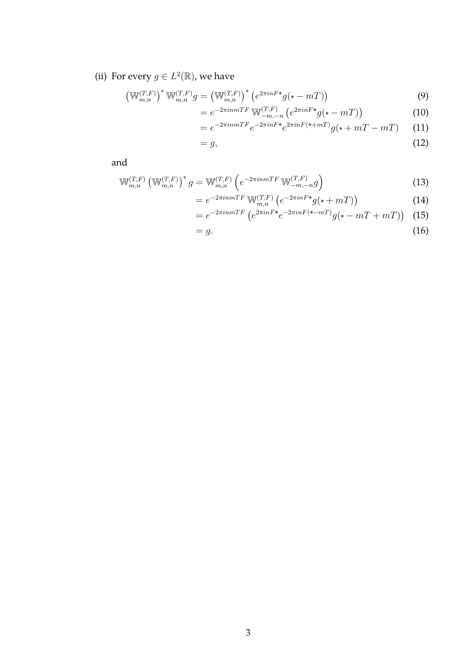(ii) For every  $g \in L^2(\mathbb{R})$ , we have

$$
\left(\mathbb{W}_{m,n}^{(T,F)}\right)^* \mathbb{W}_{m,n}^{(T,F)} g = \left(\mathbb{W}_{m,n}^{(T,F)}\right)^* \left(e^{2\pi i n F \cdot \bullet} g(\bullet - mT)\right) \tag{9}
$$

$$
= e^{-2\pi i n mTF} \mathbb{W}^{(T,F)}_{-m,-n} \left( e^{2\pi i n F^*} g( -m) \right) \tag{10}
$$

$$
= e^{-2\pi i n mTF} e^{-2\pi i nF \bullet} e^{2\pi i nF (\bullet + mT)} g(\bullet + mT - mT) \tag{11}
$$

$$
=g,\tag{12}
$$

and

$$
\mathbb{W}_{m,n}^{(T,F)} \left( \mathbb{W}_{m,n}^{(T,F)} \right)^* g = \mathbb{W}_{m,n}^{(T,F)} \left( e^{-2\pi i n m T F} \mathbb{W}_{-m,-n}^{(T,F)} g \right)
$$
(13)

$$
= e^{-2\pi inmTF} \mathbb{W}_{m,n}^{(T,F)} \left( e^{-2\pi inF^*} g(\cdot + mT) \right) \tag{14}
$$

$$
= e^{-2\pi i n mTF} \left( e^{2\pi i n F \cdot e^{-2\pi i n F (\cdot - mT)}} g(\cdot - mT + mT) \right) \tag{15}
$$

$$
=g.\tag{16}
$$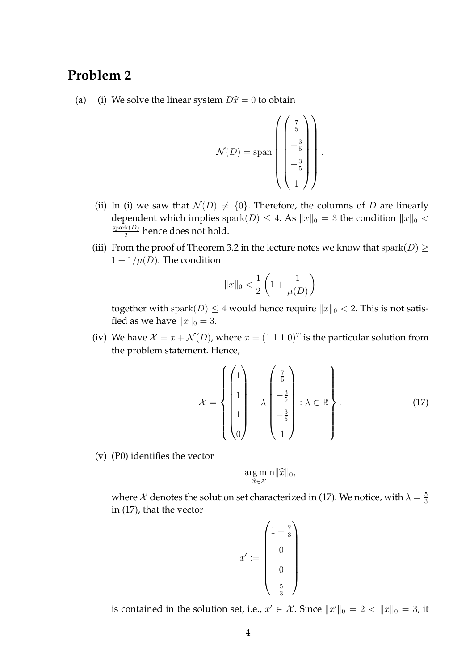### **Problem 2**

(a) (i) We solve the linear system  $D\hat{x} = 0$  to obtain

$$
\mathcal{N}(D) = \text{span}\left(\begin{pmatrix} \frac{7}{5} \\ -\frac{3}{5} \\ -\frac{3}{5} \\ 1 \end{pmatrix}\right).
$$

- (ii) In (i) we saw that  $\mathcal{N}(D) \neq \{0\}$ . Therefore, the columns of D are linearly dependent which implies spark $(D) \leq 4$ . As  $||x||_0 = 3$  the condition  $||x||_0 <$  $spark(D)$  $\frac{R(D)}{2}$  hence does not hold.
- (iii) From the proof of Theorem 3.2 in the lecture notes we know that  $\text{spark}(D) \geq$  $1 + 1/\mu(D)$ . The condition

$$
||x||_0 < \frac{1}{2} \left( 1 + \frac{1}{\mu(D)} \right)
$$

together with spark $(D) \leq 4$  would hence require  $||x||_0 < 2$ . This is not satisfied as we have  $||x||_0 = 3$ .

(iv) We have  $\mathcal{X} = x + \mathcal{N}(D)$ , where  $x = (1\ 1\ 1\ 0)^T$  is the particular solution from the problem statement. Hence,

$$
\mathcal{X} = \left\{ \begin{pmatrix} 1 \\ 1 \\ 1 \\ 1 \\ 0 \end{pmatrix} + \lambda \begin{pmatrix} \frac{7}{5} \\ -\frac{3}{5} \\ -\frac{3}{5} \\ 1 \end{pmatrix} : \lambda \in \mathbb{R} \right\}.
$$
 (17)

(v) (P0) identifies the vector

$$
\underset{\widehat{x}\in\mathcal{X}}{\arg\min} ||\widehat{x}||_0,
$$

where  $\mathcal X$  denotes the solution set characterized in (17). We notice, with  $\lambda = \frac{5}{3}$ 3 in (17), that the vector

$$
x' := \begin{pmatrix} 1 + \frac{7}{3} \\ 0 \\ 0 \\ 0 \\ \frac{5}{3} \end{pmatrix}
$$

is contained in the solution set, i.e.,  $x' \in \mathcal{X}$ . Since  $||x'||_0 = 2 < ||x||_0 = 3$ , it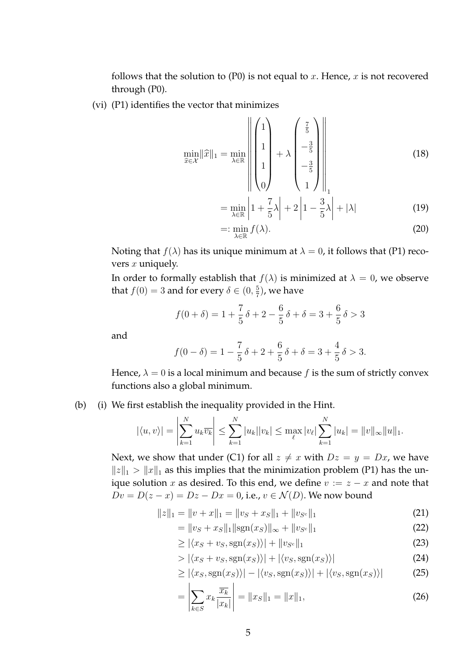follows that the solution to  $(P0)$  is not equal to x. Hence, x is not recovered through (P0).

(vi) (P1) identifies the vector that minimizes

$$
\min_{\widehat{x}\in\mathcal{X}}||\widehat{x}||_1 = \min_{\lambda\in\mathbb{R}} \left\| \begin{pmatrix} 1 \\ 1 \\ 1 \\ 1 \end{pmatrix} + \lambda \begin{pmatrix} \frac{7}{5} \\ -\frac{3}{5} \\ -\frac{3}{5} \\ 1 \end{pmatrix} \right\|_1
$$
\n(18)

$$
= \min_{\lambda \in \mathbb{R}} \left| 1 + \frac{7}{5}\lambda \right| + 2 \left| 1 - \frac{3}{5}\lambda \right| + |\lambda| \tag{19}
$$

$$
=:\min_{\lambda\in\mathbb{R}}f(\lambda).
$$
 (20)

Noting that  $f(\lambda)$  has its unique minimum at  $\lambda = 0$ , it follows that (P1) recovers  $x$  uniquely.

In order to formally establish that  $f(\lambda)$  is minimized at  $\lambda = 0$ , we observe that  $f(0) = 3$  and for every  $\delta \in (0, \frac{5}{7})$  $(\frac{5}{7})$ , we have

$$
f(0+\delta) = 1 + \frac{7}{5}\delta + 2 - \frac{6}{5}\delta + \delta = 3 + \frac{6}{5}\delta > 3
$$

and

$$
f(0 - \delta) = 1 - \frac{7}{5}\delta + 2 + \frac{6}{5}\delta + \delta = 3 + \frac{4}{5}\delta > 3.
$$

Hence,  $\lambda = 0$  is a local minimum and because f is the sum of strictly convex functions also a global minimum.

(b) (i) We first establish the inequality provided in the Hint.

$$
|\langle u, v \rangle|
$$
 =  $\left| \sum_{k=1}^{N} u_k \overline{v_k} \right| \le \sum_{k=1}^{N} |u_k||v_k| \le \max_{\ell} |v_{\ell}| \sum_{k=1}^{N} |u_k| = ||v||_{\infty} ||u||_1.$ 

Next, we show that under (C1) for all  $z \neq x$  with  $Dz = y = Dx$ , we have  $||z||_1 > ||x||_1$  as this implies that the minimization problem (P1) has the unique solution x as desired. To this end, we define  $v := z - x$  and note that  $Dv = D(z - x) = Dz - Dx = 0$ , i.e.,  $v \in \mathcal{N}(D)$ . We now bound

$$
||z||_1 = ||v + x||_1 = ||v_S + x_S||_1 + ||v_{S^c}||_1
$$
\n(21)

$$
= \|v_S + x_S\|_1 \|\text{sgn}(x_S)\|_{\infty} + \|v_{S^c}\|_1 \tag{22}
$$

$$
\geq |\langle x_S + v_S, \text{sgn}(x_S) \rangle| + \|v_{S^c}\|_1 \tag{23}
$$

 $> |\langle x_{S} + v_{S}, \text{sgn}(x_{S}) \rangle| + |\langle v_{S}, \text{sgn}(x_{S}) \rangle|$  (24)

$$
\geq |\langle x_S, \text{sgn}(x_S) \rangle| - |\langle v_S, \text{sgn}(x_S) \rangle| + |\langle v_S, \text{sgn}(x_S) \rangle| \tag{25}
$$

$$
= \left| \sum_{k \in S} x_k \frac{\overline{x_k}}{|x_k|} \right| = \|x_S\|_1 = \|x\|_1,\tag{26}
$$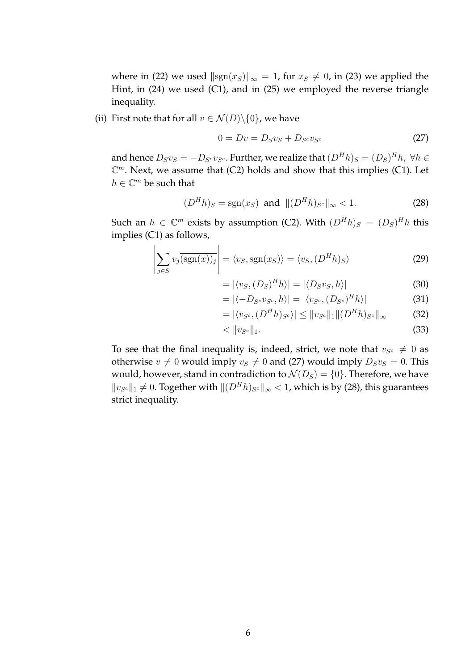where in (22) we used  $\|sgn(x_S)\|_{\infty} = 1$ , for  $x_S \neq 0$ , in (23) we applied the Hint, in (24) we used (C1), and in (25) we employed the reverse triangle inequality.

(ii) First note that for all  $v \in \mathcal{N}(D) \setminus \{0\}$ , we have

$$
0 = Dv = D_S v_S + D_{S^c} v_{S^c}
$$
\n
$$
(27)
$$

and hence  $D_S v_S = -D_{S^c} v_{S^c}.$  Further, we realize that  $(D^H h)_S = (D_S)^H h, \ \forall h \in$  $\mathbb{C}^m$ . Next, we assume that (C2) holds and show that this implies (C1). Let  $h \in \mathbb{C}^m$  be such that

$$
(DHh)S = sgn(xS) and ||(DHh)Sc||\infty < 1.
$$
 (28)

Such an  $h \in \mathbb{C}^m$  exists by assumption (C2). With  $(D^H h)_S = (D_S)^H h$  this implies (C1) as follows,

$$
\left| \sum_{j \in S} v_j \overline{\text{sgn}(x)_j} \right| = \langle v_S, \text{sgn}(x_S) \rangle = \langle v_S, (D^H h)_S \rangle \tag{29}
$$

$$
= |\langle v_S, (D_S)^H h \rangle| = |\langle D_S v_S, h \rangle| \tag{30}
$$

$$
= |\langle -D_{S^c} v_{S^c}, h \rangle| = |\langle v_{S^c}, (D_{S^c})^H h \rangle| \tag{31}
$$

$$
= |\langle v_{S^c}, (D^H h)_{S^c} \rangle| \le ||v_{S^c}||_1 || (D^H h)_{S^c}||_{\infty}
$$
 (32)

$$
\langle \, ||v_{S^c}||_1. \tag{33}
$$

To see that the final inequality is, indeed, strict, we note that  $v_{S^c} \neq 0$  as otherwise  $v \neq 0$  would imply  $v_s \neq 0$  and (27) would imply  $D_Sv_s = 0$ . This would, however, stand in contradiction to  $\mathcal{N}(D_S) = \{0\}$ . Therefore, we have  $||v_{S^c}||_1$  ≠ 0. Together with  $||(D^H h)_{S^c}||_{\infty}$  < 1, which is by (28), this guarantees strict inequality.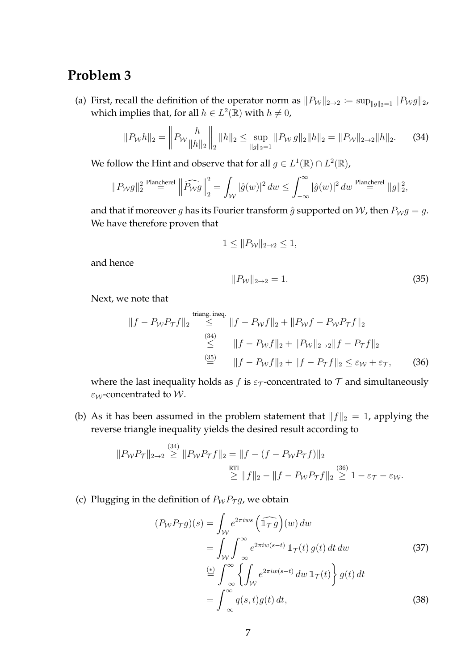### **Problem 3**

(a) First, recall the definition of the operator norm as  $||P_W||_{2\to 2} := \sup_{||g||_2=1} ||P_Wg||_2$ , which implies that, for all  $h \in L^2(\mathbb{R})$  with  $h \neq 0$ ,

$$
||P_{\mathcal{W}}h||_2 = \left\| P_{\mathcal{W}} \frac{h}{||h||_2} \right\|_2 ||h||_2 \le \sup_{||g||_2 = 1} ||P_{\mathcal{W}}g||_2 ||h||_2 = ||P_{\mathcal{W}}||_{2 \to 2} ||h||_2. \tag{34}
$$

We follow the Hint and observe that for all  $g \in L^1(\mathbb{R}) \cap L^2(\mathbb{R})$ ,

$$
||P_{\mathcal W}g||_2^2\stackrel{\text{Plancherel}}{=}\left|\left|\widehat{P_{\mathcal W}g}\right|\right|_2^2=\int_{\mathcal W}|\hat g(w)|^2\,dw\leq \int_{-\infty}^\infty|\hat g(w)|^2\,dw\stackrel{\text{Plancherel}}{=}\|g\|_2^2,
$$

and that if moreover g has its Fourier transform  $\hat{g}$  supported on W, then  $P_W g = g$ . We have therefore proven that

$$
1 \leq ||P_{\mathcal{W}}||_{2 \to 2} \leq 1,
$$

and hence

$$
||P_{\mathcal{W}}||_{2 \to 2} = 1. \tag{35}
$$

Next, we note that

$$
||f - P_W P_{\mathcal{T}} f||_2 \stackrel{\text{triangle ineq.}}{\leq} ||f - P_W f||_2 + ||P_W f - P_W P_{\mathcal{T}} f||_2
$$
  

$$
\stackrel{(34)}{\leq} ||f - P_W f||_2 + ||P_W||_{2 \to 2} ||f - P_{\mathcal{T}} f||_2
$$
  

$$
\stackrel{(35)}{=} ||f - P_W f||_2 + ||f - P_{\mathcal{T}} f||_2 \leq \varepsilon_W + \varepsilon_{\mathcal{T}}, \qquad (36)
$$

where the last inequality holds as f is  $\varepsilon_{\mathcal{T}}$ -concentrated to  $\mathcal T$  and simultaneously  $\varepsilon_W$ -concentrated to W.

(b) As it has been assumed in the problem statement that  $||f||_2 = 1$ , applying the reverse triangle inequality yields the desired result according to

$$
||P_{\mathcal{W}}P_{\mathcal{T}}||_{2\to 2} \stackrel{(34)}{\geq} ||P_{\mathcal{W}}P_{\mathcal{T}}f||_2 = ||f - (f - P_{\mathcal{W}}P_{\mathcal{T}}f)||_2
$$
  

$$
\stackrel{RTI}{\geq} ||f||_2 - ||f - P_{\mathcal{W}}P_{\mathcal{T}}f||_2 \stackrel{(36)}{\geq} 1 - \varepsilon_{\mathcal{T}} - \varepsilon_{\mathcal{W}}.
$$

(c) Plugging in the definition of  $P_WP_{\mathcal{T}}g$ , we obtain

$$
(P_W P_{\mathcal{T}}g)(s) = \int_{\mathcal{W}} e^{2\pi iws} \left(\widehat{\mathbb{1}_{\mathcal{T}}}g\right)(w) dw
$$
  
\n
$$
= \int_{\mathcal{W}} \int_{-\infty}^{\infty} e^{2\pi i w(s-t)} \mathbb{1}_{\mathcal{T}}(t) g(t) dt dw
$$
  
\n
$$
\stackrel{(*)}{=} \int_{-\infty}^{\infty} \left\{ \int_{\mathcal{W}} e^{2\pi i w(s-t)} dw \mathbb{1}_{\mathcal{T}}(t) \right\} g(t) dt
$$
  
\n
$$
= \int_{-\infty}^{\infty} q(s,t) g(t) dt,
$$
\n(38)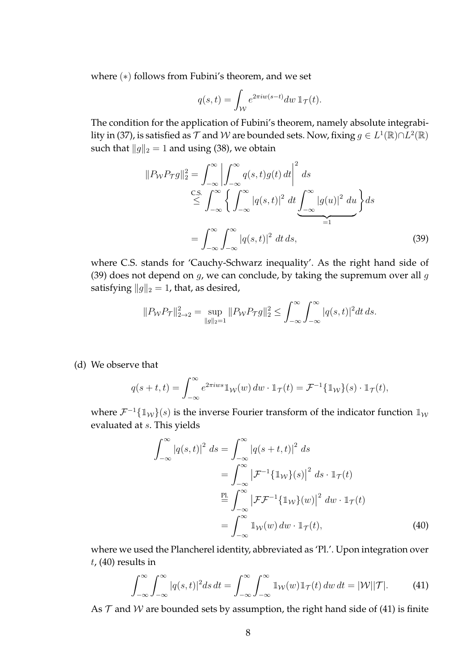where (\*) follows from Fubini's theorem, and we set

$$
q(s,t) = \int_{\mathcal{W}} e^{2\pi i w(s-t)} dw \, \mathbb{1}_{\mathcal{T}}(t).
$$

The condition for the application of Fubini's theorem, namely absolute integrability in (37), is satisfied as  $\mathcal T$  and  $\mathcal W$  are bounded sets. Now, fixing  $g\in L^1(\mathbb R)\cap L^2(\mathbb R)$ such that  $||g||_2 = 1$  and using (38), we obtain

$$
||P_{\mathcal{W}}P_{\mathcal{T}}g||_2^2 = \int_{-\infty}^{\infty} \left| \int_{-\infty}^{\infty} q(s,t)g(t) dt \right|^2 ds
$$
  
\n
$$
\leq \int_{-\infty}^{\infty} \left\{ \int_{-\infty}^{\infty} |q(s,t)|^2 dt \underbrace{\int_{-\infty}^{\infty} |g(u)|^2 du}_{=1} \right\} ds
$$
  
\n
$$
= \int_{-\infty}^{\infty} \int_{-\infty}^{\infty} |q(s,t)|^2 dt ds,
$$
\n(39)

where C.S. stands for 'Cauchy-Schwarz inequality'. As the right hand side of (39) does not depend on  $g$ , we can conclude, by taking the supremum over all  $g$ satisfying  $||g||_2 = 1$ , that, as desired,

$$
||P_{\mathcal{W}}P_{\mathcal{T}}||_{2\to 2}^2 = \sup_{||g||_2=1} ||P_{\mathcal{W}}P_{\mathcal{T}}g||_2^2 \le \int_{-\infty}^{\infty} \int_{-\infty}^{\infty} |q(s,t)|^2 dt ds.
$$

(d) We observe that

$$
q(s+t,t) = \int_{-\infty}^{\infty} e^{2\pi i w s} \mathbb{1}_{\mathcal{W}}(w) \, dw \cdot \mathbb{1}_{\mathcal{T}}(t) = \mathcal{F}^{-1} \{ \mathbb{1}_{\mathcal{W}}\}(s) \cdot \mathbb{1}_{\mathcal{T}}(t),
$$

where  $\mathcal{F}^{-1} \{ \mathbb{1}_W \}(s)$  is the inverse Fourier transform of the indicator function  $\mathbb{1}_W$ evaluated at s. This yields

$$
\int_{-\infty}^{\infty} |q(s,t)|^2 ds = \int_{-\infty}^{\infty} |q(s+t,t)|^2 ds
$$
  
\n
$$
= \int_{-\infty}^{\infty} |\mathcal{F}^{-1}\{\mathbb{1}_{\mathcal{W}}\}(s)|^2 ds \cdot \mathbb{1}_{\mathcal{T}}(t)
$$
  
\n
$$
\stackrel{\text{PL}}{=} \int_{-\infty}^{\infty} |\mathcal{F}\mathcal{F}^{-1}\{\mathbb{1}_{\mathcal{W}}\}(w)|^2 dw \cdot \mathbb{1}_{\mathcal{T}}(t)
$$
  
\n
$$
= \int_{-\infty}^{\infty} \mathbb{1}_{\mathcal{W}}(w) dw \cdot \mathbb{1}_{\mathcal{T}}(t), \tag{40}
$$

where we used the Plancherel identity, abbreviated as 'Pl.'. Upon integration over  $t$ , (40) results in

$$
\int_{-\infty}^{\infty} \int_{-\infty}^{\infty} |q(s,t)|^2 ds \, dt = \int_{-\infty}^{\infty} \int_{-\infty}^{\infty} \mathbb{1}_{\mathcal{W}}(w) \mathbb{1}_{\mathcal{T}}(t) \, dw \, dt = |\mathcal{W}| |\mathcal{T}|. \tag{41}
$$

As  $T$  and W are bounded sets by assumption, the right hand side of (41) is finite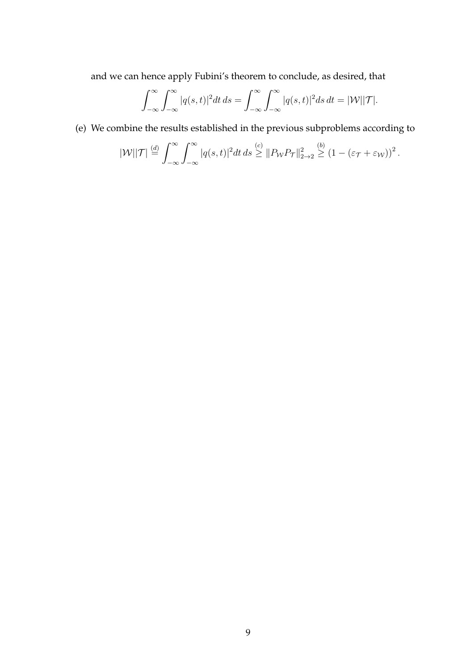and we can hence apply Fubini's theorem to conclude, as desired, that

$$
\int_{-\infty}^{\infty} \int_{-\infty}^{\infty} |q(s,t)|^2 dt ds = \int_{-\infty}^{\infty} \int_{-\infty}^{\infty} |q(s,t)|^2 ds dt = |\mathcal{W}||\mathcal{T}|.
$$

(e) We combine the results established in the previous subproblems according to

$$
|\mathcal{W}||\mathcal{T}| \stackrel{(d)}{=} \int_{-\infty}^{\infty} \int_{-\infty}^{\infty} |q(s,t)|^2 dt ds \stackrel{(c)}{\geq} ||P_{\mathcal{W}} P_{\mathcal{T}}||_{2\to 2}^2 \stackrel{(b)}{\geq} (1 - (\varepsilon_{\mathcal{T}} + \varepsilon_{\mathcal{W}}))^2.
$$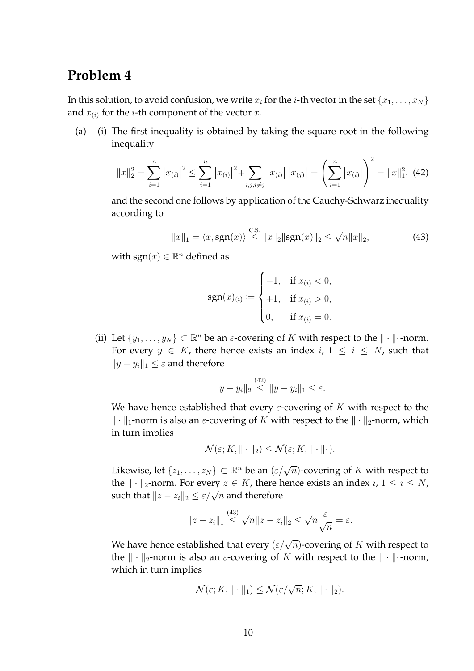#### **Problem 4**

In this solution, to avoid confusion, we write  $x_i$  for the *i*-th vector in the set  $\{x_1, \ldots, x_N\}$ and  $x_{(i)}$  for the *i*-th component of the vector  $x$ .

(a) (i) The first inequality is obtained by taking the square root in the following inequality

$$
||x||_2^2 = \sum_{i=1}^n |x_{(i)}|^2 \le \sum_{i=1}^n |x_{(i)}|^2 + \sum_{i,j,i \ne j} |x_{(i)}| |x_{(j)}| = \left(\sum_{i=1}^n |x_{(i)}|\right)^2 = ||x||_1^2, \tag{42}
$$

and the second one follows by application of the Cauchy-Schwarz inequality according to

$$
||x||_1 = \langle x, \text{sgn}(x) \rangle \stackrel{\text{C.S.}}{\leq} ||x||_2 ||\text{sgn}(x)||_2 \leq \sqrt{n} ||x||_2,
$$
 (43)

with sgn $(x) \in \mathbb{R}^n$  defined as

$$
\text{sgn}(x)_{(i)} := \begin{cases} -1, & \text{if } x_{(i)} < 0, \\ +1, & \text{if } x_{(i)} > 0, \\ 0, & \text{if } x_{(i)} = 0. \end{cases}
$$

(ii) Let  $\{y_1, \ldots, y_N\} \subset \mathbb{R}^n$  be an  $\varepsilon$ -covering of K with respect to the  $\|\cdot\|_1$ -norm. For every  $y \in K$ , there hence exists an index  $i, 1 \le i \le N$ , such that  $||y - y_i||_1$  ≤  $\varepsilon$  and therefore

$$
||y - y_i||_2 \stackrel{(42)}{\leq} ||y - y_i||_1 \leq \varepsilon.
$$

We have hence established that every  $\varepsilon$ -covering of K with respect to the  $\Vert \cdot \Vert_1$ -norm is also an *ε*-covering of K with respect to the  $\Vert \cdot \Vert_2$ -norm, which in turn implies

$$
\mathcal{N}(\varepsilon; K, \|\cdot\|_2) \le \mathcal{N}(\varepsilon; K, \|\cdot\|_1).
$$

Likewise, let  $\{z_1,\ldots,z_N\}\subset\mathbb{R}^n$  be an  $(\varepsilon/\sqrt{n})$ -covering of  $K$  with respect to the  $\| \cdot \|_2$ -norm. For every  $z \in K$ , there hence exists an index  $i, 1 \le i \le N$ , such that  $||z - z_i||_2 \le \varepsilon/\sqrt{n}$  and therefore

$$
||z - z_i||_1 \stackrel{(43)}{\leq} \sqrt{n} ||z - z_i||_2 \leq \sqrt{n} \frac{\varepsilon}{\sqrt{n}} = \varepsilon.
$$

We have hence established that every  $(\varepsilon/\sqrt{n})$ -covering of  $K$  with respect to the  $\|\cdot\|_2$ -norm is also an *ε*-covering of K with respect to the  $\|\cdot\|_1$ -norm, which in turn implies

$$
\mathcal{N}(\varepsilon; K, \|\cdot\|_1) \le \mathcal{N}(\varepsilon/\sqrt{n}; K, \|\cdot\|_2).
$$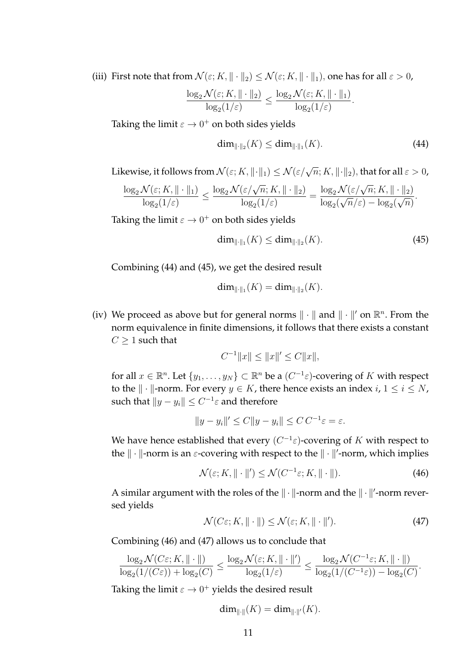(iii) First note that from  $\mathcal{N}(\varepsilon; K, \|\cdot\|_2) \leq \mathcal{N}(\varepsilon; K, \|\cdot\|_1)$ , one has for all  $\varepsilon > 0$ ,

$$
\frac{\log_2 \mathcal{N}(\varepsilon; K, \|\cdot\|_2)}{\log_2(1/\varepsilon)} \le \frac{\log_2 \mathcal{N}(\varepsilon; K, \|\cdot\|_1)}{\log_2(1/\varepsilon)}.
$$

Taking the limit  $\varepsilon \to 0^+$  on both sides yields

$$
\dim_{\|\cdot\|_2}(K) \le \dim_{\|\cdot\|_1}(K). \tag{44}
$$

Likewise, it follows from  $\mathcal{N}(\varepsilon;K,\|\cdot\|_1)\leq \mathcal{N}(\varepsilon/\sqrt{n};K,\|\cdot\|_2),$  that for all  $\varepsilon>0$ ,

$$
\frac{\log_2 \mathcal{N}(\varepsilon; K, \|\cdot\|_1)}{\log_2(1/\varepsilon)} \le \frac{\log_2 \mathcal{N}(\varepsilon/\sqrt{n}; K, \|\cdot\|_2)}{\log_2(1/\varepsilon)} = \frac{\log_2 \mathcal{N}(\varepsilon/\sqrt{n}; K, \|\cdot\|_2)}{\log_2(\sqrt{n}/\varepsilon) - \log_2(\sqrt{n})}.
$$

Taking the limit  $\varepsilon \to 0^+$  on both sides yields

$$
\dim_{\|\cdot\|_1}(K) \le \dim_{\|\cdot\|_2}(K). \tag{45}
$$

Combining (44) and (45), we get the desired result

$$
\dim_{\|\cdot\|_1}(K)=\dim_{\|\cdot\|_2}(K).
$$

(iv) We proceed as above but for general norms  $\|\cdot\|$  and  $\|\cdot\|'$  on  $\mathbb{R}^n$ . From the norm equivalence in finite dimensions, it follows that there exists a constant  $C \geq 1$  such that

$$
C^{-1}||x|| \le ||x||' \le C||x||,
$$

for all  $x \in \mathbb{R}^n$ . Let  $\{y_1, \ldots, y_N\} \subset \mathbb{R}^n$  be a  $(C^{-1} \varepsilon)$ -covering of K with respect to the  $\| \cdot \|$ -norm. For every  $y \in K$ , there hence exists an index  $i, 1 \le i \le N$ , such that  $\|y - y_i\| \leq C^{-1} \varepsilon$  and therefore

$$
||y - y_i||' \le C||y - y_i|| \le C C^{-1} \varepsilon = \varepsilon.
$$

We have hence established that every  $(C^{-1} \varepsilon)$ -covering of  $K$  with respect to the  $\|\cdot\|$ -norm is an  $\varepsilon$ -covering with respect to the  $\|\cdot\|'$ -norm, which implies

$$
\mathcal{N}(\varepsilon; K, \|\cdot\|') \le \mathcal{N}(C^{-1}\varepsilon; K, \|\cdot\|). \tag{46}
$$

A similar argument with the roles of the  $\|\cdot\|$ -norm and the  $\|\cdot\|'$ -norm reversed yields

$$
\mathcal{N}(C\varepsilon; K, \|\cdot\|) \le \mathcal{N}(\varepsilon; K, \|\cdot\|'). \tag{47}
$$

Combining (46) and (47) allows us to conclude that

$$
\frac{\log_2 \mathcal{N}(C\varepsilon; K, \|\cdot\|)}{\log_2(1/(C\varepsilon)) + \log_2(C)} \le \frac{\log_2 \mathcal{N}(\varepsilon; K, \|\cdot\|')}{\log_2(1/\varepsilon)} \le \frac{\log_2 \mathcal{N}(C^{-1}\varepsilon; K, \|\cdot\|)}{\log_2(1/(C^{-1}\varepsilon)) - \log_2(C)}.
$$

Taking the limit  $\varepsilon \to 0^+$  yields the desired result

$$
\dim_{\|\cdot\|}(K)=\dim_{\|\cdot\|'}(K).
$$